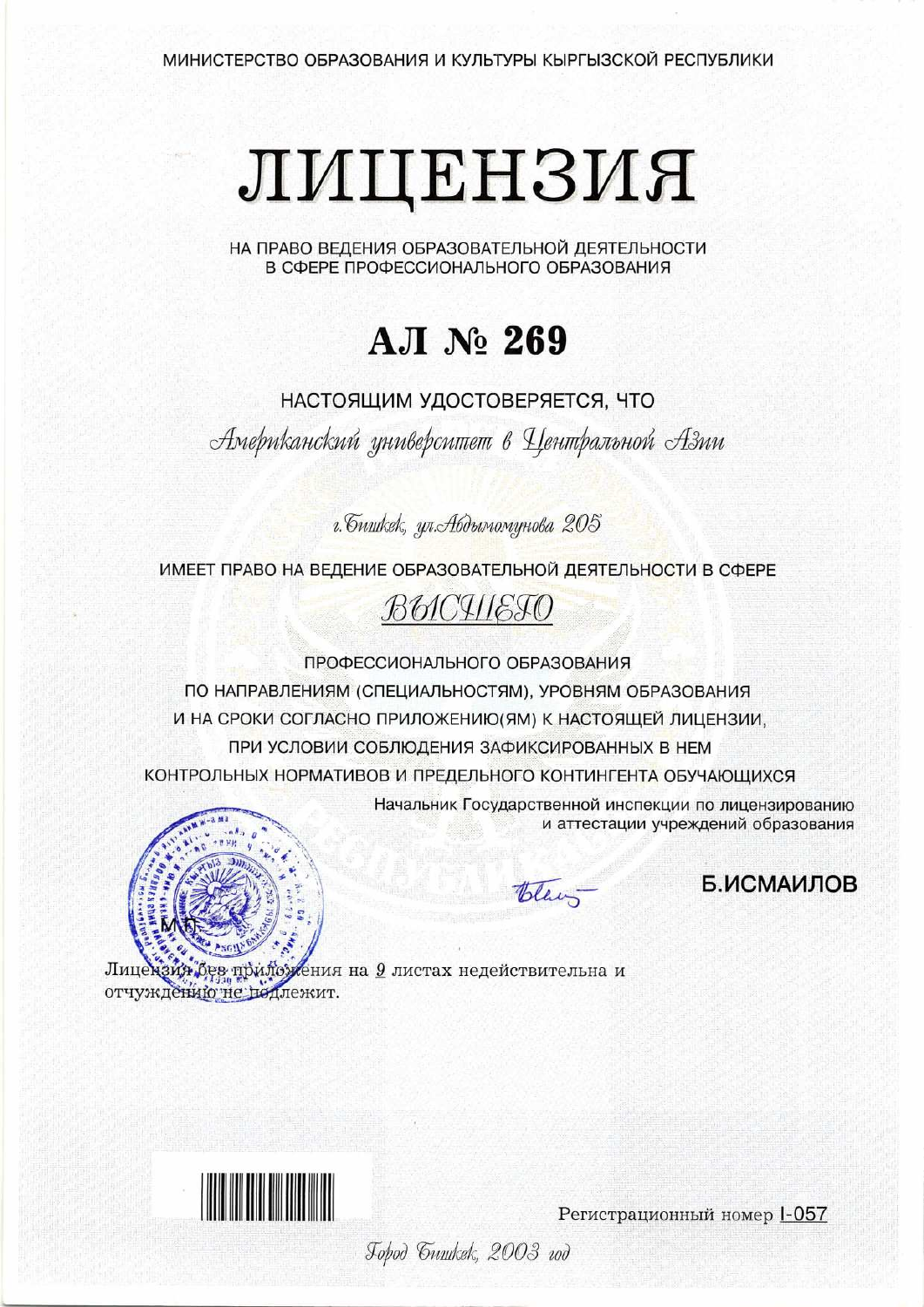# ЛИЦЕНЗИЯ

НА ПРАВО ВЕДЕНИЯ ОБРАЗОВАТЕЛЬНОЙ ДЕЯТЕЛЬНОСТИ В СФЕРЕ ПРОФЕССИОНАЛЬНОГО ОБРАЗОВАНИЯ

# **АЛ № 269**

НАСТОЯЩИМ УДОСТОВЕРЯЕТСЯ, ЧТО

Американский университет в Центральной Азии

г. бишкек, ул. Абдымомунова 205

ИМЕЕТ ПРАВО НА ВЕДЕНИЕ ОБРАЗОВАТЕЛЬНОЙ ДЕЯТЕЛЬНОСТИ В СФЕРЕ



ПРОФЕССИОНАЛЬНОГО ОБРАЗОВАНИЯ

ПО НАПРАВЛЕНИЯМ (СПЕЦИАЛЬНОСТЯМ), УРОВНЯМ ОБРАЗОВАНИЯ И НА СРОКИ СОГЛАСНО ПРИЛОЖЕНИЮ (ЯМ) К НАСТОЯЩЕЙ ЛИЦЕНЗИИ, ПРИ УСЛОВИИ СОБЛЮДЕНИЯ ЗАФИКСИРОВАННЫХ В НЕМ КОНТРОЛЬНЫХ НОРМАТИВОВ И ПРЕДЕЛЬНОГО КОНТИНГЕНТА ОБУЧАЮЩИХСЯ



и аттестации учреждений образования

Начальник Государственной инспекции по лицензированию

Blan-

Б.ИСМАИЛОВ

зия без прило? ления на <u>9</u> листах недействительна и Лицен отчуждению не подлежит.



Регистрационный номер 1-057

Jopod Guurkek, 2003 vod